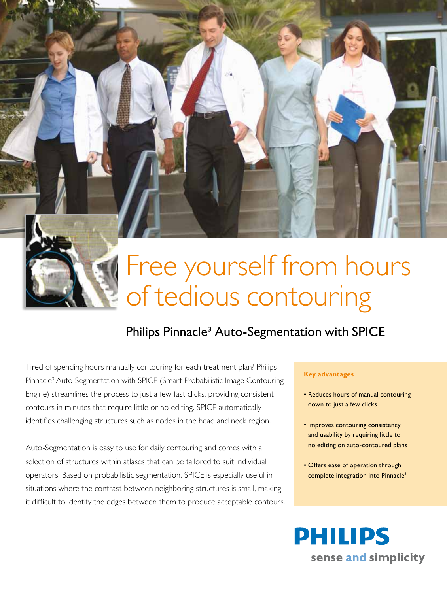

# Free yourself from hours of tedious contouring

# Philips Pinnacle<sup>3</sup> Auto-Segmentation with SPICE

Tired of spending hours manually contouring for each treatment plan? Philips Pinnacle3 Auto-Segmentation with SPICE (Smart Probabilistic Image Contouring Engine) streamlines the process to just a few fast clicks, providing consistent contours in minutes that require little or no editing. SPICE automatically identifies challenging structures such as nodes in the head and neck region.

Auto-Segmentation is easy to use for daily contouring and comes with a selection of structures within atlases that can be tailored to suit individual operators. Based on probabilistic segmentation, SPICE is especially useful in situations where the contrast between neighboring structures is small, making it difficult to identify the edges between them to produce acceptable contours.

### **Key advantages**

- Reduces hours of manual contouring down to just a few clicks
- Improves contouring consistency and usability by requiring little to no editing on auto-contoured plans
- Offers ease of operation through complete integration into Pinnacle<sup>3</sup>

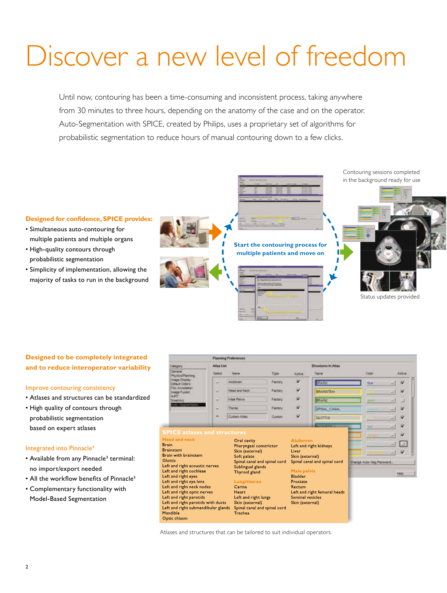# Discover a new level of freedom

Until now, contouring has been a time-consuming and inconsistent process, taking anywhere from 30 minutes to three hours, depending on the anatomy of the case and on the operator. Auto-Segmentation with SPICE, created by Philips, uses a proprietary set of algorithms for probabilistic segmentation to reduce hours of manual contouring down to a few clicks.



## **Designed to be completely integrated and to reduce interoperator variability**

#### Improve contouring consistency

- • Atlases and structures can be standardized
- High quality of contours through probabilistic segmentation based on expert atlases

#### Integrated into Pinnacle<sup>3</sup>

- Available from any Pinnacle<sup>3</sup> terminal: no import/export needed
- All the workflow benefits of Pinnacle<sup>3</sup>
- • Complementary functionality with
- Model-Based Segmentation



Atlases and structures that can be tailored to suit individual operators.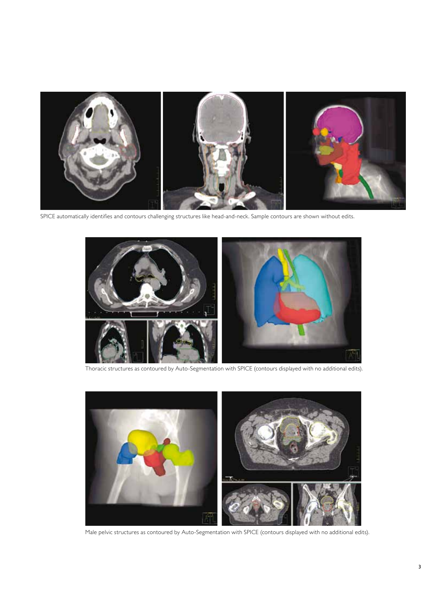

SPICE automatically identifies and contours challenging structures like head-and-neck. Sample contours are shown without edits.



Thoracic structures as contoured by Auto-Segmentation with SPICE (contours displayed with no additional edits).



Male pelvic structures as contoured by Auto-Segmentation with SPICE (contours displayed with no additional edits).